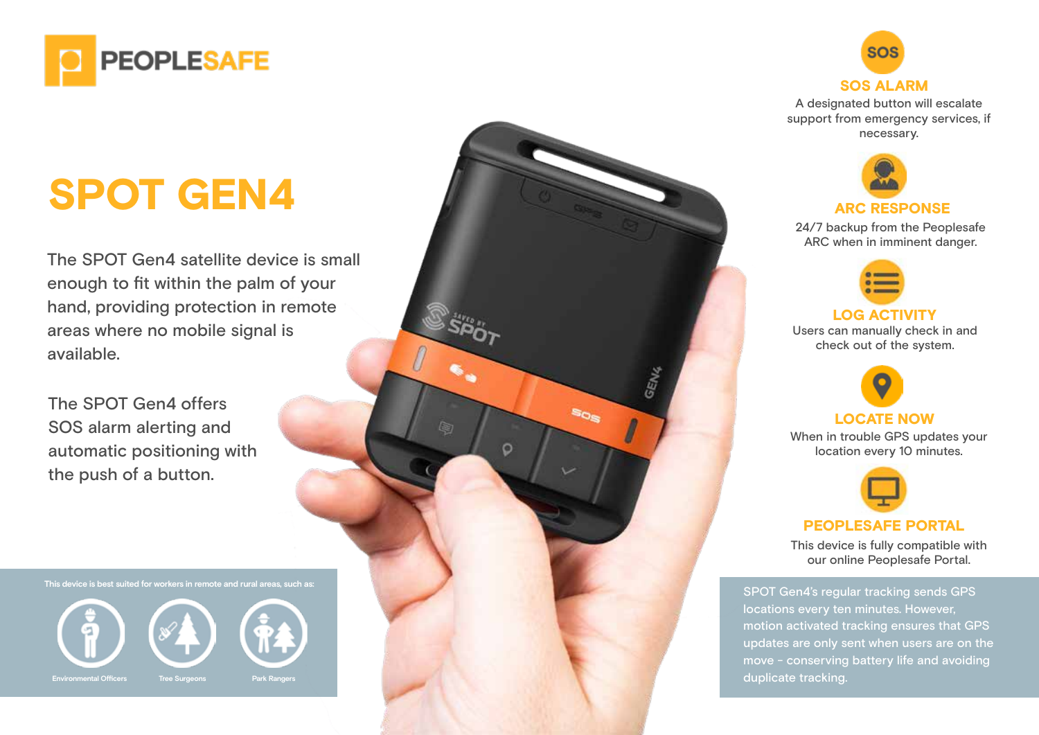

# SPOT GEN4

The SPOT Gen4 satellite device is small enough to fit within the palm of your hand, providing protection in remote areas where no mobile signal is available.

The SPOT Gen4 offers SOS alarm alerting and automatic positioning with the push of a button.

**This device is best suited for workers in remote and rural areas, such as:**







A designated button will escalate support from emergency services, if necessary.



24/7 backup from the Peoplesafe ARC when in imminent danger.



LOG ACTIVITY

Users can manually check in and check out of the system.



### LOCATE NOW

**SOS** 

Ca)

 $\circ$ 

When in trouble GPS updates your location every 10 minutes.



#### PEOPLESAFE PORTAL

This device is fully compatible with our online Peoplesafe Portal.

SPOT Gen4's regular tracking sends GPS locations every ten minutes. However, motion activated tracking ensures that GPS updates are only sent when users are on the move - conserving battery life and avoiding duplicate tracking.